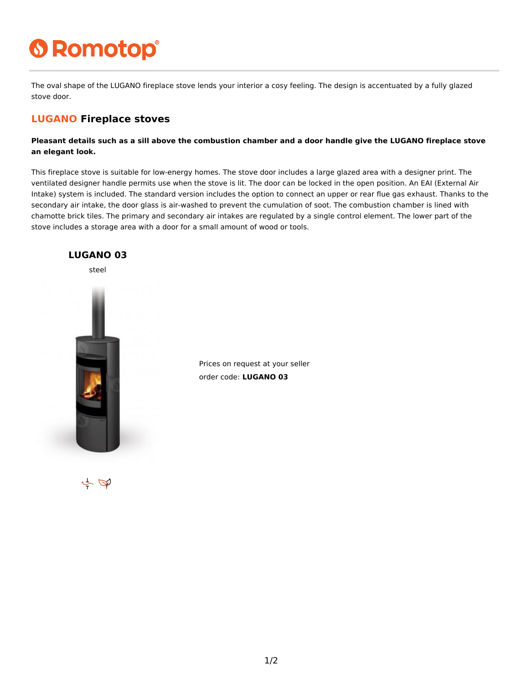## **6 Romotop®**

The oval shape of the LUGANO fireplace stove lends your interior a cosy feeling. The design is accentuated by a fully glazed stove door.

## **LUGANO Fireplace stoves**

**Pleasant details such as a sill above the combustion chamber and a door handle give the LUGANO fireplace stove an elegant look.**

This fireplace stove is suitable for low-energy homes. The stove door includes a large glazed area with a designer print. The ventilated designer handle permits use when the stove is lit. The door can be locked in the open position. An EAI (External Air Intake) system is included. The standard version includes the option to connect an upper or rear flue gas exhaust. Thanks to the secondary air intake, the door glass is air-washed to prevent the cumulation of soot. The combustion chamber is lined with chamotte brick tiles. The primary and secondary air intakes are regulated by a single control element. The lower part of the stove includes a storage area with a door for a small amount of wood or tools.



Prices on request at your seller order code: **LUGANO 03**

 $\leftarrow \Phi$